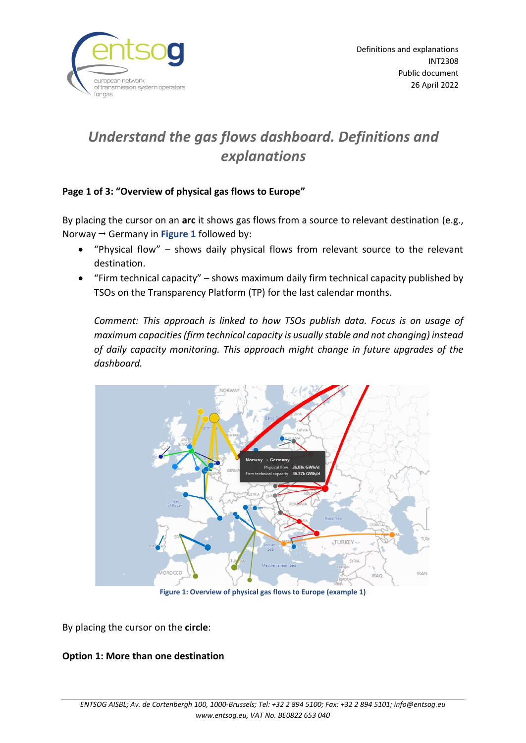

# *Understand the gas flows dashboard. Definitions and explanations*

## **Page 1 of 3: "Overview of physical gas flows to Europe"**

By placing the cursor on an **arc** it shows gas flows from a source to relevant destination (e.g., Norway  $\rightarrow$  Germany in **Figure 1** followed by:

- "Physical flow" shows daily physical flows from relevant source to the relevant destination.
- "Firm technical capacity" shows maximum daily firm technical capacity published by TSOs on the Transparency Platform (TP) for the last calendar months.

*Comment: This approach is linked to how TSOs publish data. Focus is on usage of maximum capacities (firm technical capacity is usually stable and not changing) instead of daily capacity monitoring. This approach might change in future upgrades of the dashboard.*



**Figure 1: Overview of physical gas flows to Europe (example 1)**

By placing the cursor on the **circle**:

### **Option 1: More than one destination**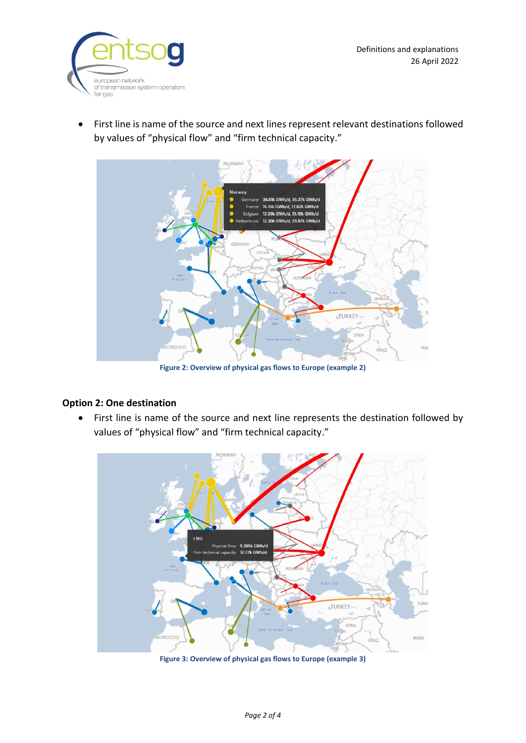

• First line is name of the source and next lines represent relevant destinations followed by values of "physical flow" and "firm technical capacity."



**Figure 2: Overview of physical gas flows to Europe (example 2)**

### **Option 2: One destination**

• First line is name of the source and next line represents the destination followed by values of "physical flow" and "firm technical capacity."



**Figure 3: Overview of physical gas flows to Europe (example 3)**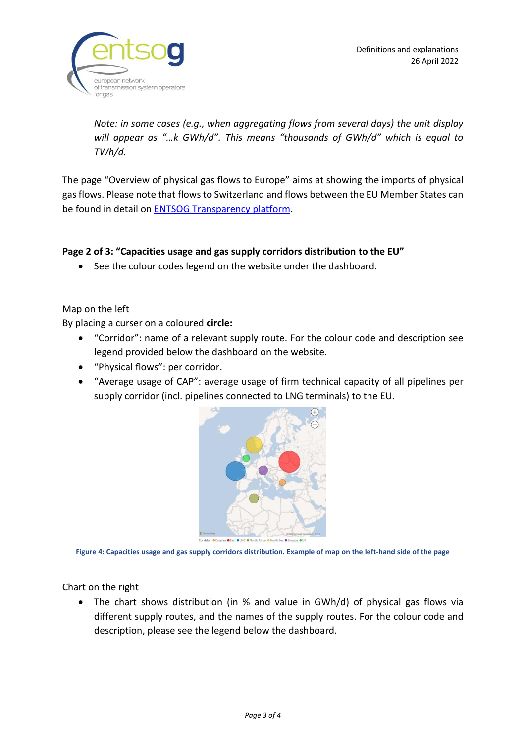

*Note: in some cases (e.g., when aggregating flows from several days) the unit display will appear as "…k GWh/d". This means "thousands of GWh/d" which is equal to TWh/d.*

The page "Overview of physical gas flows to Europe" aims at showing the imports of physical gas flows. Please note that flows to Switzerland and flows between the EU Member States can be found in detail on ENTSOG [Transparency platform.](https://transparency.entsog.eu/#/map)

#### **Page 2 of 3: "Capacities usage and gas supply corridors distribution to the EU"**

• See the colour codes legend on the website under the dashboard.

#### Map on the left

By placing a curser on a coloured **circle:**

- "Corridor": name of a relevant supply route. For the colour code and description see legend provided below the dashboard on the website.
- "Physical flows": per corridor.
- "Average usage of CAP": average usage of firm technical capacity of all pipelines per supply corridor (incl. pipelines connected to LNG terminals) to the EU.



**Figure 4: Capacities usage and gas supply corridors distribution. Example of map on the left-hand side of the page**

#### Chart on the right

• The chart shows distribution (in % and value in GWh/d) of physical gas flows via different supply routes, and the names of the supply routes. For the colour code and description, please see the legend below the dashboard.